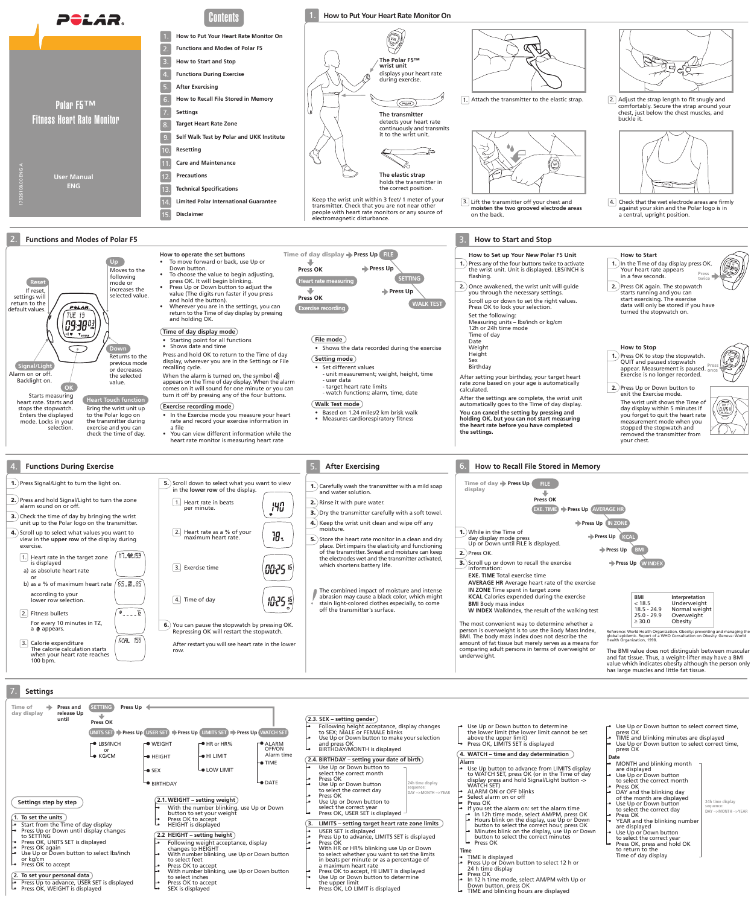2. Heart rate as a % of your 况。 maximum heart rate. 117\_参.153 which shortens battery life. 3. Exercise time **OO:25** %